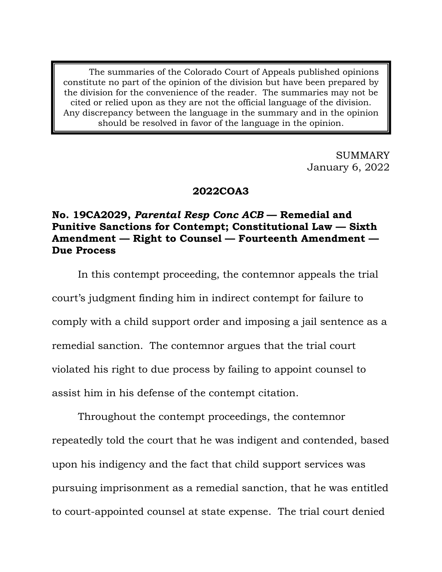The summaries of the Colorado Court of Appeals published opinions constitute no part of the opinion of the division but have been prepared by the division for the convenience of the reader. The summaries may not be cited or relied upon as they are not the official language of the division. Any discrepancy between the language in the summary and in the opinion should be resolved in favor of the language in the opinion.

> SUMMARY January 6, 2022

# **2022COA3**

# **No. 19CA2029,** *Parental Resp Conc ACB* **— Remedial and Punitive Sanctions for Contempt; Constitutional Law — Sixth Amendment — Right to Counsel — Fourteenth Amendment — Due Process**

In this contempt proceeding, the contemnor appeals the trial court's judgment finding him in indirect contempt for failure to comply with a child support order and imposing a jail sentence as a remedial sanction. The contemnor argues that the trial court violated his right to due process by failing to appoint counsel to assist him in his defense of the contempt citation.

Throughout the contempt proceedings, the contemnor repeatedly told the court that he was indigent and contended, based upon his indigency and the fact that child support services was pursuing imprisonment as a remedial sanction, that he was entitled to court-appointed counsel at state expense. The trial court denied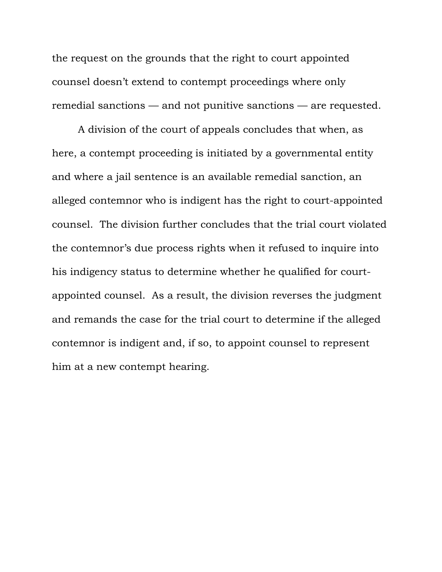the request on the grounds that the right to court appointed counsel doesn't extend to contempt proceedings where only remedial sanctions — and not punitive sanctions — are requested.

A division of the court of appeals concludes that when, as here, a contempt proceeding is initiated by a governmental entity and where a jail sentence is an available remedial sanction, an alleged contemnor who is indigent has the right to court-appointed counsel. The division further concludes that the trial court violated the contemnor's due process rights when it refused to inquire into his indigency status to determine whether he qualified for courtappointed counsel. As a result, the division reverses the judgment and remands the case for the trial court to determine if the alleged contemnor is indigent and, if so, to appoint counsel to represent him at a new contempt hearing.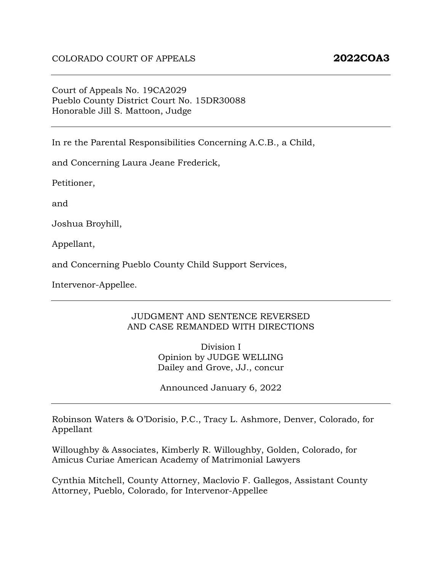Court of Appeals No. 19CA2029 Pueblo County District Court No. 15DR30088 Honorable Jill S. Mattoon, Judge

In re the Parental Responsibilities Concerning A.C.B., a Child,

and Concerning Laura Jeane Frederick,

Petitioner,

and

Joshua Broyhill,

Appellant,

and Concerning Pueblo County Child Support Services,

Intervenor-Appellee.

#### JUDGMENT AND SENTENCE REVERSED AND CASE REMANDED WITH DIRECTIONS

Division I Opinion by JUDGE WELLING Dailey and Grove, JJ., concur

Announced January 6, 2022

Robinson Waters & O'Dorisio, P.C., Tracy L. Ashmore, Denver, Colorado, for Appellant

Willoughby & Associates, Kimberly R. Willoughby, Golden, Colorado, for Amicus Curiae American Academy of Matrimonial Lawyers

Cynthia Mitchell, County Attorney, Maclovio F. Gallegos, Assistant County Attorney, Pueblo, Colorado, for Intervenor-Appellee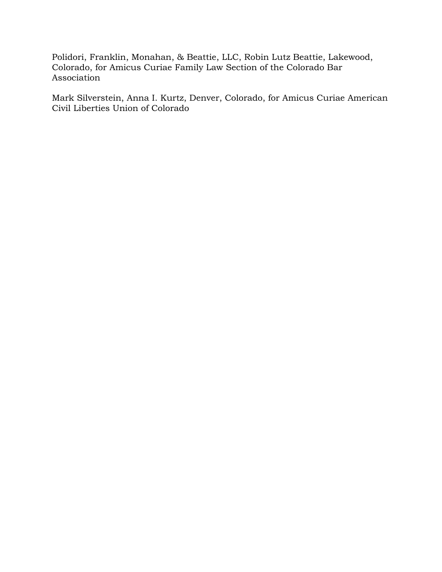Polidori, Franklin, Monahan, & Beattie, LLC, Robin Lutz Beattie, Lakewood, Colorado, for Amicus Curiae Family Law Section of the Colorado Bar Association

Mark Silverstein, Anna I. Kurtz, Denver, Colorado, for Amicus Curiae American Civil Liberties Union of Colorado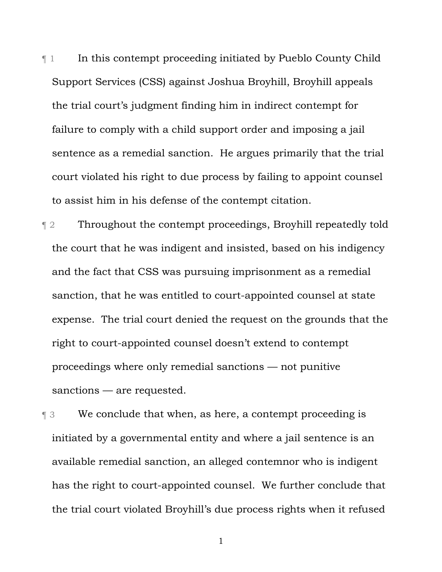¶ 1 In this contempt proceeding initiated by Pueblo County Child Support Services (CSS) against Joshua Broyhill, Broyhill appeals the trial court's judgment finding him in indirect contempt for failure to comply with a child support order and imposing a jail sentence as a remedial sanction. He argues primarily that the trial court violated his right to due process by failing to appoint counsel to assist him in his defense of the contempt citation.

¶ 2 Throughout the contempt proceedings, Broyhill repeatedly told the court that he was indigent and insisted, based on his indigency and the fact that CSS was pursuing imprisonment as a remedial sanction, that he was entitled to court-appointed counsel at state expense. The trial court denied the request on the grounds that the right to court-appointed counsel doesn't extend to contempt proceedings where only remedial sanctions — not punitive sanctions — are requested.

¶ 3 We conclude that when, as here, a contempt proceeding is initiated by a governmental entity and where a jail sentence is an available remedial sanction, an alleged contemnor who is indigent has the right to court-appointed counsel. We further conclude that the trial court violated Broyhill's due process rights when it refused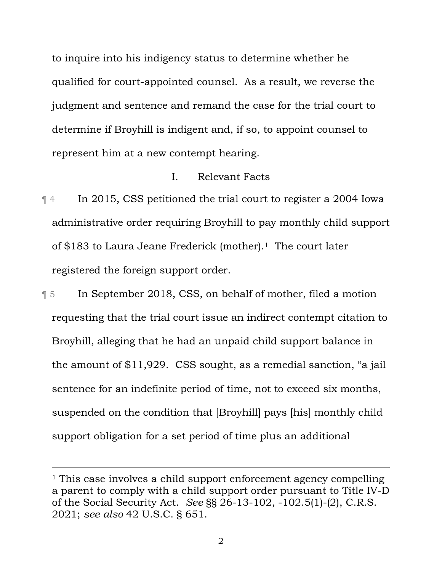to inquire into his indigency status to determine whether he qualified for court-appointed counsel. As a result, we reverse the judgment and sentence and remand the case for the trial court to determine if Broyhill is indigent and, if so, to appoint counsel to represent him at a new contempt hearing.

#### I. Relevant Facts

¶ 4 In 2015, CSS petitioned the trial court to register a 2004 Iowa administrative order requiring Broyhill to pay monthly child support of \$183 to Laura Jeane Frederick (mother).1 The court later registered the foreign support order.

¶ 5 In September 2018, CSS, on behalf of mother, filed a motion requesting that the trial court issue an indirect contempt citation to Broyhill, alleging that he had an unpaid child support balance in the amount of \$11,929. CSS sought, as a remedial sanction, "a jail sentence for an indefinite period of time, not to exceed six months, suspended on the condition that [Broyhill] pays [his] monthly child support obligation for a set period of time plus an additional

<sup>&</sup>lt;sup>1</sup> This case involves a child support enforcement agency compelling a parent to comply with a child support order pursuant to Title IV-D of the Social Security Act. *See* §§ 26-13-102, -102.5(1)-(2), C.R.S. 2021; *see also* 42 U.S.C. § 651.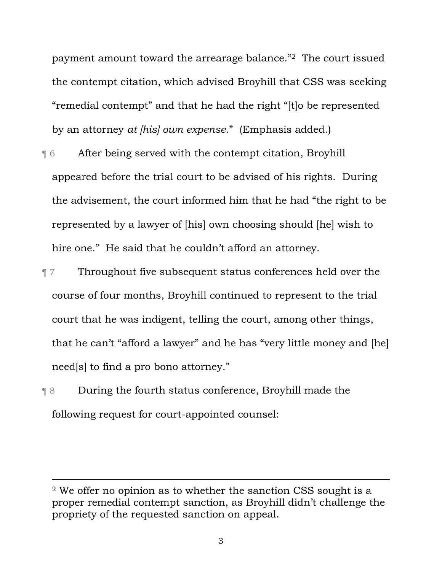payment amount toward the arrearage balance."2 The court issued the contempt citation, which advised Broyhill that CSS was seeking "remedial contempt" and that he had the right "[t]o be represented by an attorney *at [his] own expense*." (Emphasis added.)

- ¶ 6 After being served with the contempt citation, Broyhill appeared before the trial court to be advised of his rights. During the advisement, the court informed him that he had "the right to be represented by a lawyer of [his] own choosing should [he] wish to hire one." He said that he couldn't afford an attorney.
- ¶ 7 Throughout five subsequent status conferences held over the course of four months, Broyhill continued to represent to the trial court that he was indigent, telling the court, among other things, that he can't "afford a lawyer" and he has "very little money and [he] need[s] to find a pro bono attorney."
- ¶ 8 During the fourth status conference, Broyhill made the following request for court-appointed counsel:

<sup>2</sup> We offer no opinion as to whether the sanction CSS sought is a proper remedial contempt sanction, as Broyhill didn't challenge the propriety of the requested sanction on appeal.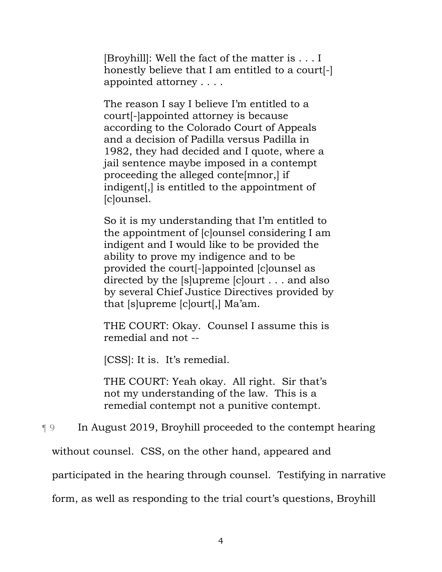[Broyhill]: Well the fact of the matter is . . . I honestly believe that I am entitled to a court[-] appointed attorney . . . .

The reason I say I believe I'm entitled to a court[-]appointed attorney is because according to the Colorado Court of Appeals and a decision of Padilla versus Padilla in 1982, they had decided and I quote, where a jail sentence maybe imposed in a contempt proceeding the alleged conte[mnor,] if indigent[,] is entitled to the appointment of [c]ounsel.

So it is my understanding that I'm entitled to the appointment of [c]ounsel considering I am indigent and I would like to be provided the ability to prove my indigence and to be provided the court[-]appointed [c]ounsel as directed by the [s]upreme [c]ourt . . . and also by several Chief Justice Directives provided by that [s]upreme [c]ourt[,] Ma'am.

THE COURT: Okay. Counsel I assume this is remedial and not --

[CSS]: It is. It's remedial.

THE COURT: Yeah okay. All right. Sir that's not my understanding of the law. This is a remedial contempt not a punitive contempt.

¶ 9 In August 2019, Broyhill proceeded to the contempt hearing

without counsel. CSS, on the other hand, appeared and

participated in the hearing through counsel. Testifying in narrative

form, as well as responding to the trial court's questions, Broyhill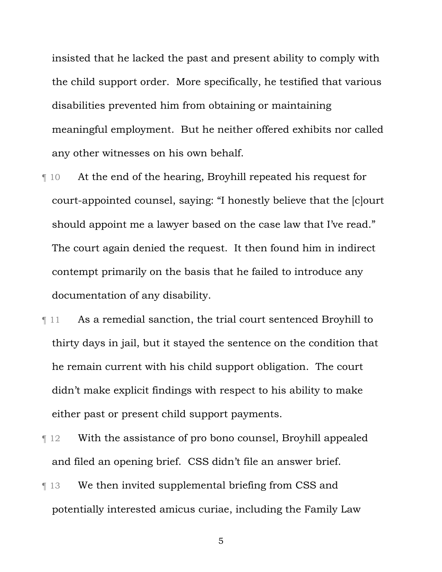insisted that he lacked the past and present ability to comply with the child support order. More specifically, he testified that various disabilities prevented him from obtaining or maintaining meaningful employment. But he neither offered exhibits nor called any other witnesses on his own behalf.

- ¶ 10 At the end of the hearing, Broyhill repeated his request for court-appointed counsel, saying: "I honestly believe that the [c]ourt should appoint me a lawyer based on the case law that I've read." The court again denied the request. It then found him in indirect contempt primarily on the basis that he failed to introduce any documentation of any disability.
- ¶ 11 As a remedial sanction, the trial court sentenced Broyhill to thirty days in jail, but it stayed the sentence on the condition that he remain current with his child support obligation. The court didn't make explicit findings with respect to his ability to make either past or present child support payments.
- ¶ 12 With the assistance of pro bono counsel, Broyhill appealed and filed an opening brief. CSS didn't file an answer brief.
- ¶ 13 We then invited supplemental briefing from CSS and potentially interested amicus curiae, including the Family Law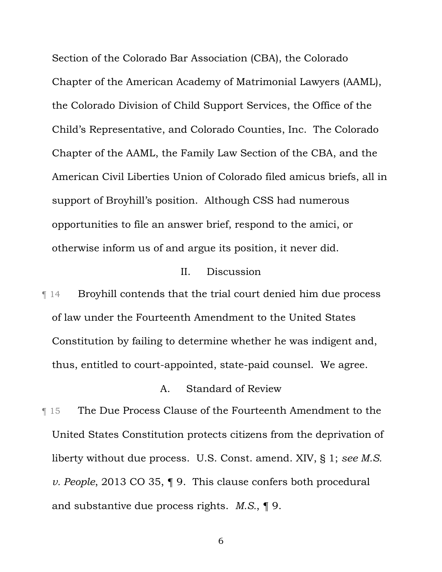Section of the Colorado Bar Association (CBA), the Colorado Chapter of the American Academy of Matrimonial Lawyers (AAML), the Colorado Division of Child Support Services, the Office of the Child's Representative, and Colorado Counties, Inc. The Colorado Chapter of the AAML, the Family Law Section of the CBA, and the American Civil Liberties Union of Colorado filed amicus briefs, all in support of Broyhill's position. Although CSS had numerous opportunities to file an answer brief, respond to the amici, or otherwise inform us of and argue its position, it never did.

#### II. Discussion

¶ 14 Broyhill contends that the trial court denied him due process of law under the Fourteenth Amendment to the United States Constitution by failing to determine whether he was indigent and, thus, entitled to court-appointed, state-paid counsel. We agree.

# A. Standard of Review

**The Due Process Clause of the Fourteenth Amendment to the** United States Constitution protects citizens from the deprivation of liberty without due process. U.S. Const. amend. XIV, § 1; *see M.S. v. People*, 2013 CO 35, ¶ 9. This clause confers both procedural and substantive due process rights. *M.S.*, ¶ 9.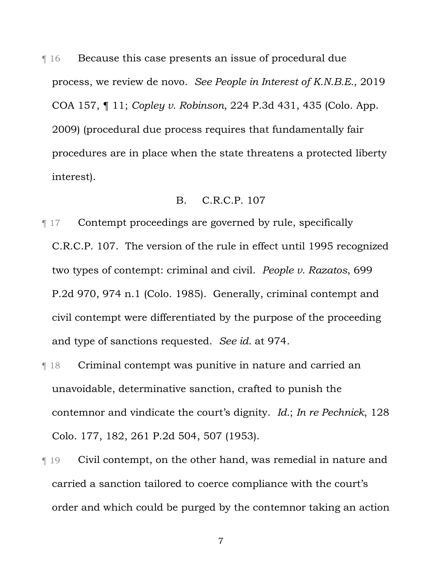**The** Because this case presents an issue of procedural due process, we review de novo. *See People in Interest of K.N.B.E.*, 2019 COA 157, ¶ 11; *Copley v. Robinson*, 224 P.3d 431, 435 (Colo. App. 2009) (procedural due process requires that fundamentally fair procedures are in place when the state threatens a protected liberty interest).

#### B. C.R.C.P. 107

- ¶ 17 Contempt proceedings are governed by rule, specifically C.R.C.P. 107. The version of the rule in effect until 1995 recognized two types of contempt: criminal and civil. *People v. Razatos*, 699 P.2d 970, 974 n.1 (Colo. 1985). Generally, criminal contempt and civil contempt were differentiated by the purpose of the proceeding and type of sanctions requested. *See id.* at 974.
- ¶ 18 Criminal contempt was punitive in nature and carried an unavoidable, determinative sanction, crafted to punish the contemnor and vindicate the court's dignity. *Id.*; *In re Pechnick*, 128 Colo. 177, 182, 261 P.2d 504, 507 (1953).
- ¶ 19 Civil contempt, on the other hand, was remedial in nature and carried a sanction tailored to coerce compliance with the court's order and which could be purged by the contemnor taking an action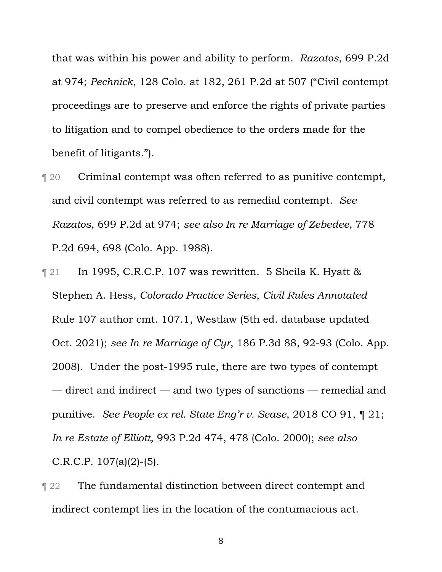that was within his power and ability to perform. *Razatos*, 699 P.2d at 974; *Pechnick*, 128 Colo. at 182, 261 P.2d at 507 ("Civil contempt proceedings are to preserve and enforce the rights of private parties to litigation and to compel obedience to the orders made for the benefit of litigants.").

- ¶ 20 Criminal contempt was often referred to as punitive contempt, and civil contempt was referred to as remedial contempt. *See Razatos*, 699 P.2d at 974; *see also In re Marriage of Zebedee*, 778 P.2d 694, 698 (Colo. App. 1988).
- $\lceil 21 \rceil$  In 1995, C.R.C.P. 107 was rewritten. 5 Sheila K. Hyatt & Stephen A. Hess, *Colorado Practice Series*, *Civil Rules Annotated* Rule 107 author cmt. 107.1, Westlaw (5th ed. database updated Oct. 2021); *see In re Marriage of Cyr*, 186 P.3d 88, 92-93 (Colo. App. 2008). Under the post-1995 rule, there are two types of contempt — direct and indirect — and two types of sanctions — remedial and punitive. *See People ex rel. State Eng'r v. Sease*, 2018 CO 91, ¶ 21; *In re Estate of Elliott*, 993 P.2d 474, 478 (Colo. 2000); *see also* C.R.C.P. 107(a)(2)-(5).
- **The fundamental distinction between direct contempt and** indirect contempt lies in the location of the contumacious act.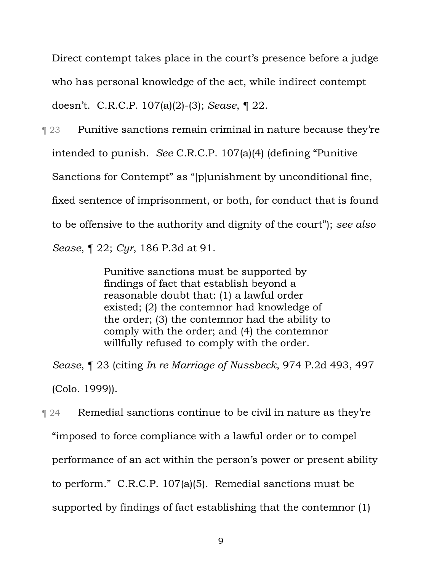Direct contempt takes place in the court's presence before a judge who has personal knowledge of the act, while indirect contempt doesn't. C.R.C.P. 107(a)(2)-(3); *Sease*, ¶ 22.

**Term 23** Punitive sanctions remain criminal in nature because they're intended to punish. *See* C.R.C.P. 107(a)(4) (defining "Punitive Sanctions for Contempt" as "[p]unishment by unconditional fine, fixed sentence of imprisonment, or both, for conduct that is found to be offensive to the authority and dignity of the court"); *see also Sease*, ¶ 22; *Cyr*, 186 P.3d at 91.

> Punitive sanctions must be supported by findings of fact that establish beyond a reasonable doubt that: (1) a lawful order existed; (2) the contemnor had knowledge of the order; (3) the contemnor had the ability to comply with the order; and (4) the contemnor willfully refused to comply with the order.

*Sease*, ¶ 23 (citing *In re Marriage of Nussbeck*, 974 P.2d 493, 497 (Colo. 1999)).

 $\lceil 24 \rceil$  Remedial sanctions continue to be civil in nature as they're "imposed to force compliance with a lawful order or to compel performance of an act within the person's power or present ability to perform." C.R.C.P. 107(a)(5). Remedial sanctions must be supported by findings of fact establishing that the contemnor (1)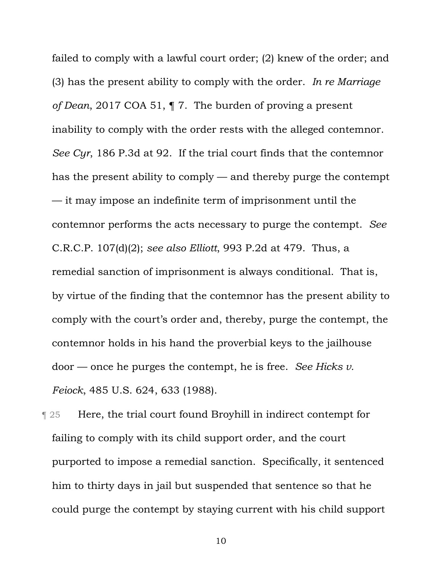failed to comply with a lawful court order; (2) knew of the order; and (3) has the present ability to comply with the order. *In re Marriage of Dean*, 2017 COA 51, ¶ 7. The burden of proving a present inability to comply with the order rests with the alleged contemnor. *See Cyr*, 186 P.3d at 92. If the trial court finds that the contemnor has the present ability to comply — and thereby purge the contempt — it may impose an indefinite term of imprisonment until the contemnor performs the acts necessary to purge the contempt. *See* C.R.C.P. 107(d)(2); *see also Elliott*, 993 P.2d at 479. Thus, a remedial sanction of imprisonment is always conditional. That is, by virtue of the finding that the contemnor has the present ability to comply with the court's order and, thereby, purge the contempt, the contemnor holds in his hand the proverbial keys to the jailhouse door — once he purges the contempt, he is free. *See Hicks v. Feiock*, 485 U.S. 624, 633 (1988).

**Texable 125 Figure 125** Here, the trial court found Broyhill in indirect contempt for failing to comply with its child support order, and the court purported to impose a remedial sanction. Specifically, it sentenced him to thirty days in jail but suspended that sentence so that he could purge the contempt by staying current with his child support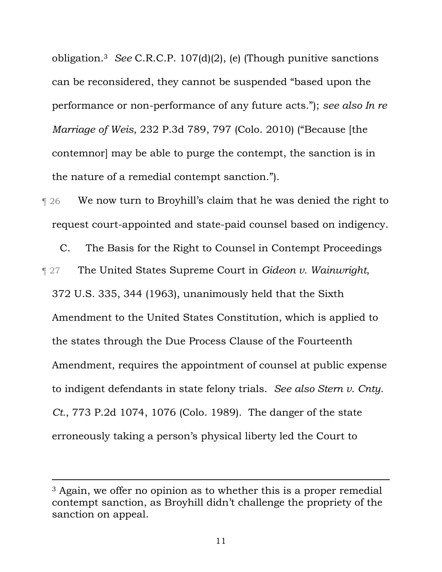obligation.3 *See* C.R.C.P. 107(d)(2), (e) (Though punitive sanctions can be reconsidered, they cannot be suspended "based upon the performance or non-performance of any future acts."); *see also In re Marriage of Weis*, 232 P.3d 789, 797 (Colo. 2010) ("Because [the contemnor] may be able to purge the contempt, the sanction is in the nature of a remedial contempt sanction.").

¶ 26 We now turn to Broyhill's claim that he was denied the right to request court-appointed and state-paid counsel based on indigency.

C. The Basis for the Right to Counsel in Contempt Proceedings ¶ 27 The United States Supreme Court in *Gideon v. Wainwright*, 372 U.S. 335, 344 (1963), unanimously held that the Sixth Amendment to the United States Constitution, which is applied to the states through the Due Process Clause of the Fourteenth Amendment, requires the appointment of counsel at public expense to indigent defendants in state felony trials. *See also Stern v. Cnty. Ct.*, 773 P.2d 1074, 1076 (Colo. 1989). The danger of the state erroneously taking a person's physical liberty led the Court to

<sup>&</sup>lt;sup>3</sup> Again, we offer no opinion as to whether this is a proper remedial contempt sanction, as Broyhill didn't challenge the propriety of the sanction on appeal.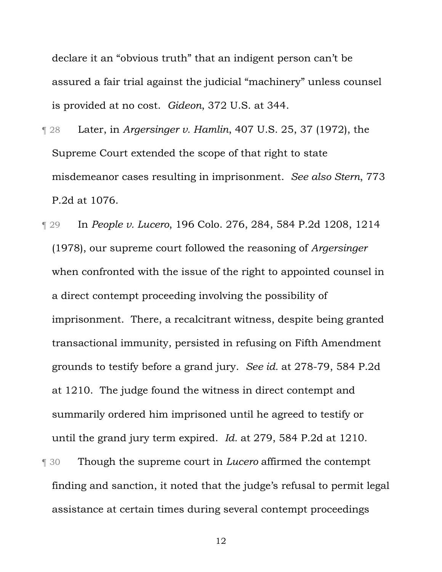declare it an "obvious truth" that an indigent person can't be assured a fair trial against the judicial "machinery" unless counsel is provided at no cost. *Gideon*, 372 U.S. at 344.

- ¶ 28 Later, in *Argersinger v. Hamlin*, 407 U.S. 25, 37 (1972), the Supreme Court extended the scope of that right to state misdemeanor cases resulting in imprisonment. *See also Stern*, 773 P.2d at 1076.
- ¶ 29 In *People v. Lucero*, 196 Colo. 276, 284, 584 P.2d 1208, 1214 (1978), our supreme court followed the reasoning of *Argersinger* when confronted with the issue of the right to appointed counsel in a direct contempt proceeding involving the possibility of imprisonment. There, a recalcitrant witness, despite being granted transactional immunity, persisted in refusing on Fifth Amendment grounds to testify before a grand jury. *See id.* at 278-79, 584 P.2d at 1210. The judge found the witness in direct contempt and summarily ordered him imprisoned until he agreed to testify or until the grand jury term expired. *Id.* at 279, 584 P.2d at 1210. ¶ 30 Though the supreme court in *Lucero* affirmed the contempt finding and sanction, it noted that the judge's refusal to permit legal assistance at certain times during several contempt proceedings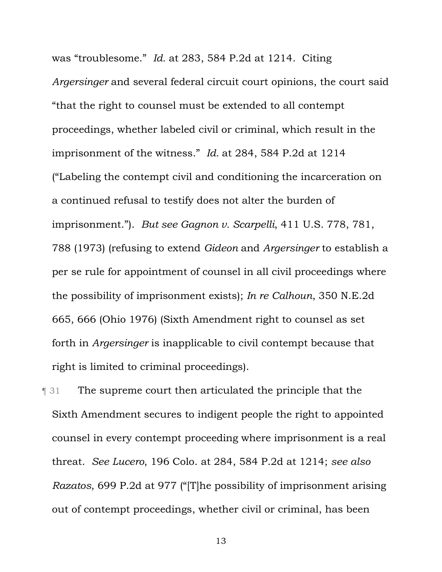was "troublesome." *Id.* at 283, 584 P.2d at 1214. Citing *Argersinger* and several federal circuit court opinions, the court said "that the right to counsel must be extended to all contempt proceedings, whether labeled civil or criminal, which result in the imprisonment of the witness." *Id.* at 284, 584 P.2d at 1214 ("Labeling the contempt civil and conditioning the incarceration on a continued refusal to testify does not alter the burden of imprisonment."). *But see Gagnon v. Scarpelli*, 411 U.S. 778, 781, 788 (1973) (refusing to extend *Gideon* and *Argersinger* to establish a per se rule for appointment of counsel in all civil proceedings where the possibility of imprisonment exists); *In re Calhoun*, 350 N.E.2d 665, 666 (Ohio 1976) (Sixth Amendment right to counsel as set forth in *Argersinger* is inapplicable to civil contempt because that right is limited to criminal proceedings).

¶ 31 The supreme court then articulated the principle that the Sixth Amendment secures to indigent people the right to appointed counsel in every contempt proceeding where imprisonment is a real threat. *See Lucero*, 196 Colo. at 284, 584 P.2d at 1214; *see also Razatos*, 699 P.2d at 977 ("[T]he possibility of imprisonment arising out of contempt proceedings, whether civil or criminal, has been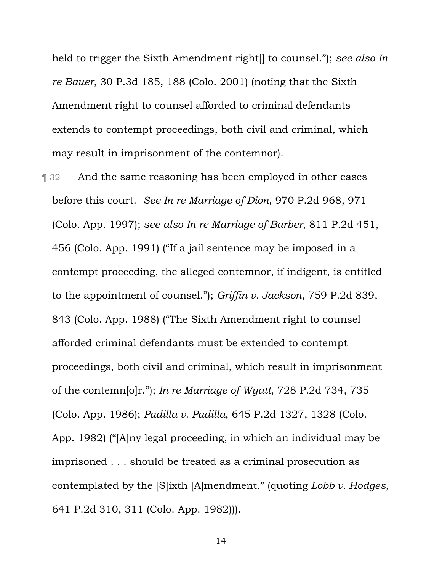held to trigger the Sixth Amendment right[] to counsel."); *see also In re Bauer*, 30 P.3d 185, 188 (Colo. 2001) (noting that the Sixth Amendment right to counsel afforded to criminal defendants extends to contempt proceedings, both civil and criminal, which may result in imprisonment of the contemnor).

**Term 32** And the same reasoning has been employed in other cases before this court. *See In re Marriage of Dion*, 970 P.2d 968, 971 (Colo. App. 1997); *see also In re Marriage of Barber*, 811 P.2d 451, 456 (Colo. App. 1991) ("If a jail sentence may be imposed in a contempt proceeding, the alleged contemnor, if indigent, is entitled to the appointment of counsel."); *Griffin v. Jackson*, 759 P.2d 839, 843 (Colo. App. 1988) ("The Sixth Amendment right to counsel afforded criminal defendants must be extended to contempt proceedings, both civil and criminal, which result in imprisonment of the contemn[o]r."); *In re Marriage of Wyatt*, 728 P.2d 734, 735 (Colo. App. 1986); *Padilla v. Padilla*, 645 P.2d 1327, 1328 (Colo. App. 1982) ("[A]ny legal proceeding, in which an individual may be imprisoned . . . should be treated as a criminal prosecution as contemplated by the [S]ixth [A]mendment." (quoting *Lobb v. Hodges*, 641 P.2d 310, 311 (Colo. App. 1982))).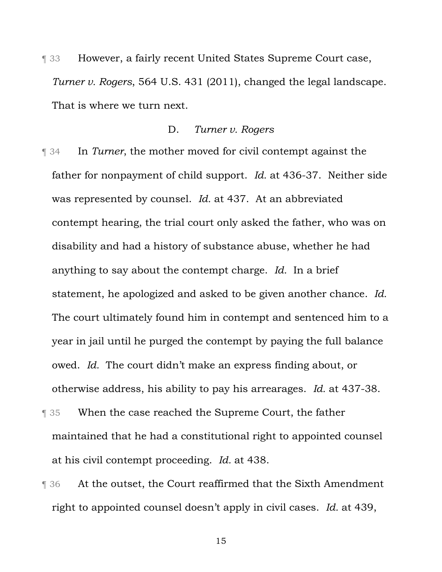¶ 33 However, a fairly recent United States Supreme Court case, *Turner v. Rogers*, 564 U.S. 431 (2011), changed the legal landscape. That is where we turn next.

# D. *Turner v. Rogers*

- ¶ 34 In *Turner*, the mother moved for civil contempt against the father for nonpayment of child support. *Id.* at 436-37. Neither side was represented by counsel. *Id.* at 437. At an abbreviated contempt hearing, the trial court only asked the father, who was on disability and had a history of substance abuse, whether he had anything to say about the contempt charge. *Id.* In a brief statement, he apologized and asked to be given another chance. *Id.* The court ultimately found him in contempt and sentenced him to a year in jail until he purged the contempt by paying the full balance owed. *Id.* The court didn't make an express finding about, or otherwise address, his ability to pay his arrearages. *Id.* at 437-38.
- ¶ 35 When the case reached the Supreme Court, the father maintained that he had a constitutional right to appointed counsel at his civil contempt proceeding. *Id.* at 438.
- ¶ 36 At the outset, the Court reaffirmed that the Sixth Amendment right to appointed counsel doesn't apply in civil cases. *Id.* at 439,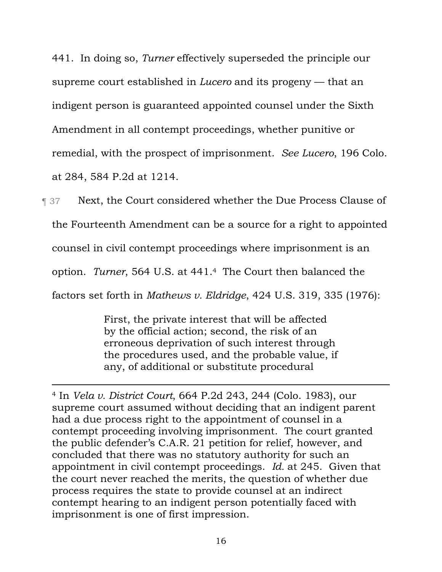441. In doing so, *Turner* effectively superseded the principle our supreme court established in *Lucero* and its progeny — that an indigent person is guaranteed appointed counsel under the Sixth Amendment in all contempt proceedings, whether punitive or remedial, with the prospect of imprisonment. *See Lucero*, 196 Colo. at 284, 584 P.2d at 1214.

**Text, the Court considered whether the Due Process Clause of** the Fourteenth Amendment can be a source for a right to appointed counsel in civil contempt proceedings where imprisonment is an option. *Turner*, 564 U.S. at 441.4The Court then balanced the factors set forth in *Mathews v. Eldridge*, 424 U.S. 319, 335 (1976):

> First, the private interest that will be affected by the official action; second, the risk of an erroneous deprivation of such interest through the procedures used, and the probable value, if any, of additional or substitute procedural

<sup>4</sup> In *Vela v. District Court*, 664 P.2d 243, 244 (Colo. 1983), our supreme court assumed without deciding that an indigent parent had a due process right to the appointment of counsel in a contempt proceeding involving imprisonment. The court granted the public defender's C.A.R. 21 petition for relief, however, and concluded that there was no statutory authority for such an appointment in civil contempt proceedings. *Id.* at 245. Given that the court never reached the merits, the question of whether due process requires the state to provide counsel at an indirect contempt hearing to an indigent person potentially faced with imprisonment is one of first impression.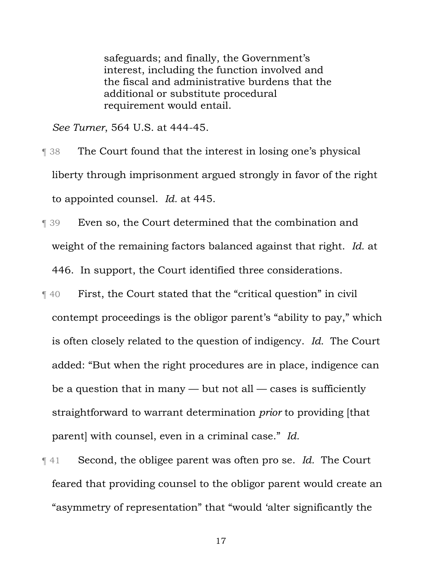safeguards; and finally, the Government's interest, including the function involved and the fiscal and administrative burdens that the additional or substitute procedural requirement would entail.

*See Turner*, 564 U.S. at 444-45.

- ¶ 38 The Court found that the interest in losing one's physical liberty through imprisonment argued strongly in favor of the right to appointed counsel. *Id.* at 445.
- ¶ 39 Even so, the Court determined that the combination and weight of the remaining factors balanced against that right. *Id.* at 446. In support, the Court identified three considerations.
- ¶ 40 First, the Court stated that the "critical question" in civil contempt proceedings is the obligor parent's "ability to pay," which is often closely related to the question of indigency. *Id.* The Court added: "But when the right procedures are in place, indigence can be a question that in many  $-$  but not all  $-$  cases is sufficiently straightforward to warrant determination *prior* to providing [that parent] with counsel, even in a criminal case." *Id.*
- ¶ 41 Second, the obligee parent was often pro se. *Id.* The Court feared that providing counsel to the obligor parent would create an "asymmetry of representation" that "would 'alter significantly the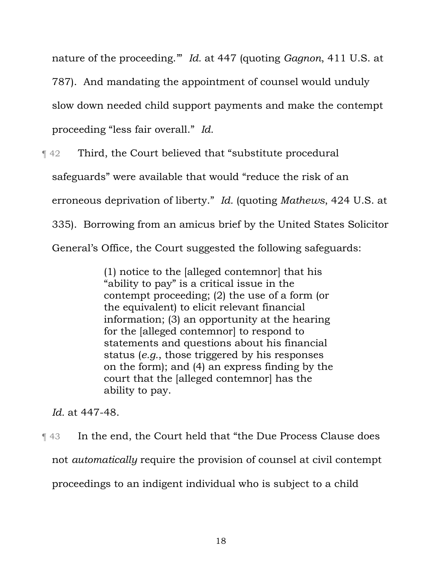nature of the proceeding.'" *Id.* at 447 (quoting *Gagnon*, 411 U.S. at 787). And mandating the appointment of counsel would unduly slow down needed child support payments and make the contempt proceeding "less fair overall." *Id.*

¶ 42 Third, the Court believed that "substitute procedural safeguards" were available that would "reduce the risk of an erroneous deprivation of liberty." *Id.* (quoting *Mathews*, 424 U.S. at 335). Borrowing from an amicus brief by the United States Solicitor General's Office, the Court suggested the following safeguards:

> (1) notice to the [alleged contemnor] that his "ability to pay" is a critical issue in the contempt proceeding; (2) the use of a form (or the equivalent) to elicit relevant financial information; (3) an opportunity at the hearing for the [alleged contemnor] to respond to statements and questions about his financial status (*e.g.*, those triggered by his responses on the form); and (4) an express finding by the court that the [alleged contemnor] has the ability to pay.

*Id.* at 447-48.

¶ 43 In the end, the Court held that "the Due Process Clause does not *automatically* require the provision of counsel at civil contempt proceedings to an indigent individual who is subject to a child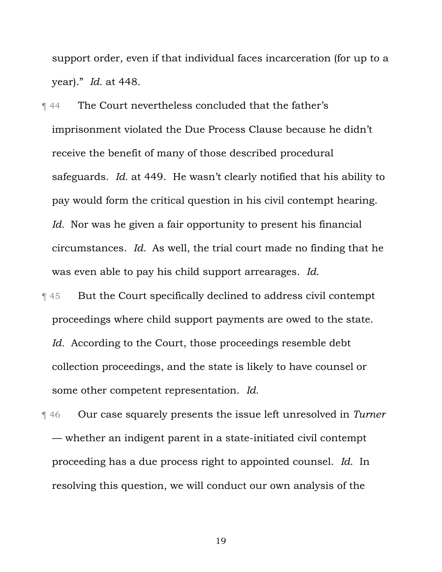support order, even if that individual faces incarceration (for up to a year)." *Id.* at 448.

¶ 44 The Court nevertheless concluded that the father's imprisonment violated the Due Process Clause because he didn't receive the benefit of many of those described procedural safeguards. *Id.* at 449. He wasn't clearly notified that his ability to pay would form the critical question in his civil contempt hearing. *Id.* Nor was he given a fair opportunity to present his financial circumstances. *Id.* As well, the trial court made no finding that he was even able to pay his child support arrearages. *Id.*

¶ 45 But the Court specifically declined to address civil contempt proceedings where child support payments are owed to the state. *Id.* According to the Court, those proceedings resemble debt collection proceedings, and the state is likely to have counsel or some other competent representation. *Id.*

¶ 46 Our case squarely presents the issue left unresolved in *Turner* — whether an indigent parent in a state-initiated civil contempt proceeding has a due process right to appointed counsel. *Id.* In resolving this question, we will conduct our own analysis of the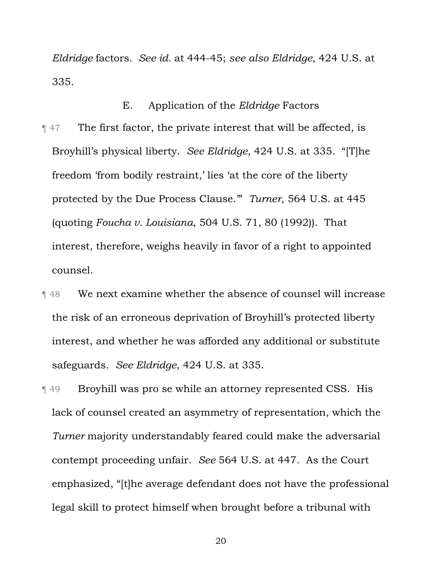*Eldridge* factors. *See id.* at 444-45; *see also Eldridge*, 424 U.S. at 335.

# E. Application of the *Eldridge* Factors

- ¶ 47 The first factor, the private interest that will be affected, is Broyhill's physical liberty. *See Eldridge*, 424 U.S. at 335. "[T]he freedom 'from bodily restraint,' lies 'at the core of the liberty protected by the Due Process Clause.'" *Turner*, 564 U.S. at 445 (quoting *Foucha v. Louisiana*, 504 U.S. 71, 80 (1992)). That interest, therefore, weighs heavily in favor of a right to appointed counsel.
- ¶ 48 We next examine whether the absence of counsel will increase the risk of an erroneous deprivation of Broyhill's protected liberty interest, and whether he was afforded any additional or substitute safeguards. *See Eldridge*, 424 U.S. at 335.
- ¶ 49 Broyhill was pro se while an attorney represented CSS. His lack of counsel created an asymmetry of representation, which the *Turner* majority understandably feared could make the adversarial contempt proceeding unfair. *See* 564 U.S. at 447. As the Court emphasized, "[t]he average defendant does not have the professional legal skill to protect himself when brought before a tribunal with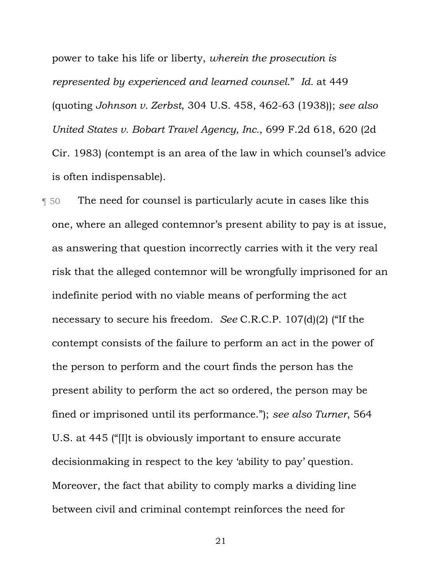power to take his life or liberty, *wherein the prosecution is represented by experienced and learned counsel*." *Id.* at 449 (quoting *Johnson v. Zerbst*, 304 U.S. 458, 462-63 (1938)); *see also United States v. Bobart Travel Agency, Inc.*, 699 F.2d 618, 620 (2d Cir. 1983) (contempt is an area of the law in which counsel's advice is often indispensable).

¶ 50 The need for counsel is particularly acute in cases like this one, where an alleged contemnor's present ability to pay is at issue, as answering that question incorrectly carries with it the very real risk that the alleged contemnor will be wrongfully imprisoned for an indefinite period with no viable means of performing the act necessary to secure his freedom. *See* C.R.C.P. 107(d)(2) ("If the contempt consists of the failure to perform an act in the power of the person to perform and the court finds the person has the present ability to perform the act so ordered, the person may be fined or imprisoned until its performance."); *see also Turner*, 564 U.S. at 445 ("[I]t is obviously important to ensure accurate decisionmaking in respect to the key 'ability to pay' question. Moreover, the fact that ability to comply marks a dividing line between civil and criminal contempt reinforces the need for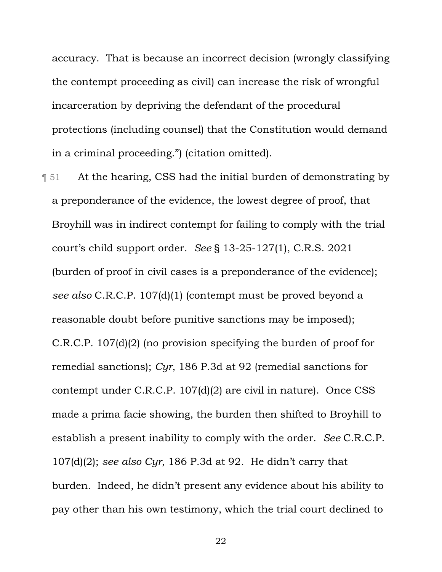accuracy. That is because an incorrect decision (wrongly classifying the contempt proceeding as civil) can increase the risk of wrongful incarceration by depriving the defendant of the procedural protections (including counsel) that the Constitution would demand in a criminal proceeding.") (citation omitted).

¶ 51 At the hearing, CSS had the initial burden of demonstrating by a preponderance of the evidence, the lowest degree of proof, that Broyhill was in indirect contempt for failing to comply with the trial court's child support order. *See* § 13-25-127(1), C.R.S. 2021 (burden of proof in civil cases is a preponderance of the evidence); *see also* C.R.C.P. 107(d)(1) (contempt must be proved beyond a reasonable doubt before punitive sanctions may be imposed); C.R.C.P. 107(d)(2) (no provision specifying the burden of proof for remedial sanctions); *Cyr*, 186 P.3d at 92 (remedial sanctions for contempt under C.R.C.P. 107(d)(2) are civil in nature). Once CSS made a prima facie showing, the burden then shifted to Broyhill to establish a present inability to comply with the order. *See* C.R.C.P. 107(d)(2); *see also Cyr*, 186 P.3d at 92. He didn't carry that burden. Indeed, he didn't present any evidence about his ability to pay other than his own testimony, which the trial court declined to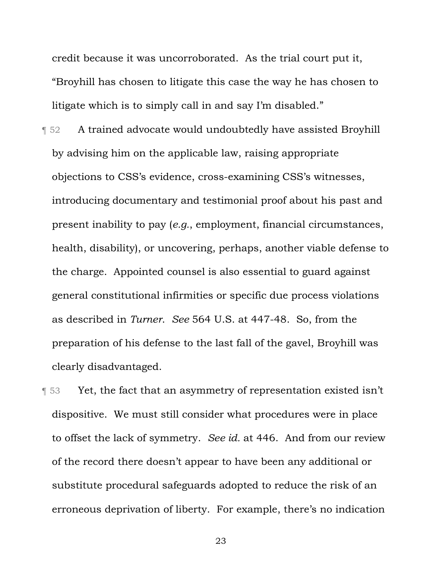credit because it was uncorroborated. As the trial court put it, "Broyhill has chosen to litigate this case the way he has chosen to litigate which is to simply call in and say I'm disabled."

- ¶ 52 A trained advocate would undoubtedly have assisted Broyhill by advising him on the applicable law, raising appropriate objections to CSS's evidence, cross-examining CSS's witnesses, introducing documentary and testimonial proof about his past and present inability to pay (*e.g.*, employment, financial circumstances, health, disability), or uncovering, perhaps, another viable defense to the charge. Appointed counsel is also essential to guard against general constitutional infirmities or specific due process violations as described in *Turner*. *See* 564 U.S. at 447-48. So, from the preparation of his defense to the last fall of the gavel, Broyhill was clearly disadvantaged.
- **The Struth Struth and Struth Struth Struth Struth Struth Struth Struth Struth Struth Struth Struth Struth Struth Struth Struth Struth Struth Struth Struth Struth Struth Struth Struth Struth Struth Struth Struth Struth Str** dispositive. We must still consider what procedures were in place to offset the lack of symmetry. *See id.* at 446. And from our review of the record there doesn't appear to have been any additional or substitute procedural safeguards adopted to reduce the risk of an erroneous deprivation of liberty. For example, there's no indication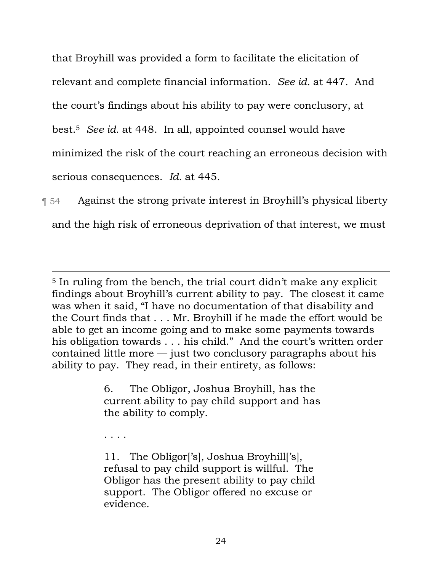that Broyhill was provided a form to facilitate the elicitation of relevant and complete financial information. *See id.* at 447. And the court's findings about his ability to pay were conclusory, at best.5 *See id.* at 448. In all, appointed counsel would have minimized the risk of the court reaching an erroneous decision with serious consequences. *Id.* at 445.

¶ 54 Against the strong private interest in Broyhill's physical liberty and the high risk of erroneous deprivation of that interest, we must

<sup>5</sup> In ruling from the bench, the trial court didn't make any explicit findings about Broyhill's current ability to pay. The closest it came was when it said, "I have no documentation of that disability and the Court finds that . . . Mr. Broyhill if he made the effort would be able to get an income going and to make some payments towards his obligation towards . . . his child." And the court's written order contained little more — just two conclusory paragraphs about his ability to pay. They read, in their entirety, as follows:

> 6. The Obligor, Joshua Broyhill, has the current ability to pay child support and has the ability to comply.

. . . .

11. The Obligor['s], Joshua Broyhill['s], refusal to pay child support is willful. The Obligor has the present ability to pay child support. The Obligor offered no excuse or evidence.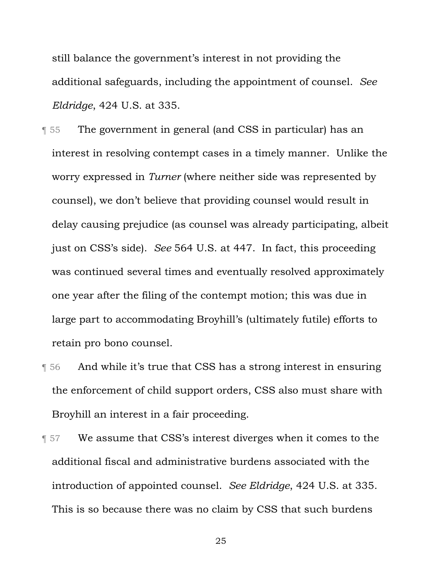still balance the government's interest in not providing the additional safeguards, including the appointment of counsel. *See Eldridge*, 424 U.S. at 335.

- ¶ 55 The government in general (and CSS in particular) has an interest in resolving contempt cases in a timely manner. Unlike the worry expressed in *Turner* (where neither side was represented by counsel), we don't believe that providing counsel would result in delay causing prejudice (as counsel was already participating, albeit just on CSS's side). *See* 564 U.S. at 447. In fact, this proceeding was continued several times and eventually resolved approximately one year after the filing of the contempt motion; this was due in large part to accommodating Broyhill's (ultimately futile) efforts to retain pro bono counsel.
- ¶ 56 And while it's true that CSS has a strong interest in ensuring the enforcement of child support orders, CSS also must share with Broyhill an interest in a fair proceeding.
- **T** 57 We assume that CSS's interest diverges when it comes to the additional fiscal and administrative burdens associated with the introduction of appointed counsel. *See Eldridge*, 424 U.S. at 335. This is so because there was no claim by CSS that such burdens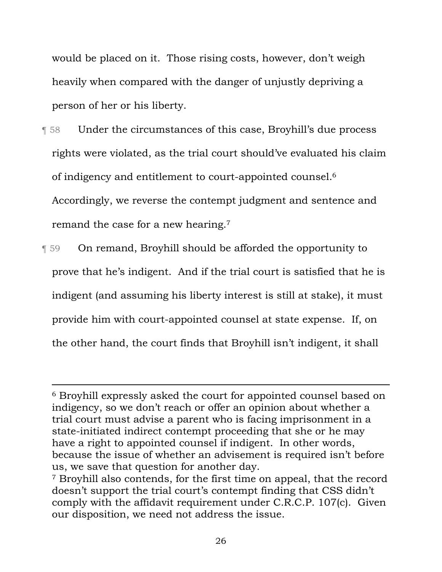would be placed on it. Those rising costs, however, don't weigh heavily when compared with the danger of unjustly depriving a person of her or his liberty.

¶ 58 Under the circumstances of this case, Broyhill's due process rights were violated, as the trial court should've evaluated his claim of indigency and entitlement to court-appointed counsel.6 Accordingly, we reverse the contempt judgment and sentence and remand the case for a new hearing.7

¶ 59 On remand, Broyhill should be afforded the opportunity to prove that he's indigent. And if the trial court is satisfied that he is indigent (and assuming his liberty interest is still at stake), it must provide him with court-appointed counsel at state expense. If, on the other hand, the court finds that Broyhill isn't indigent, it shall

<sup>6</sup> Broyhill expressly asked the court for appointed counsel based on indigency, so we don't reach or offer an opinion about whether a trial court must advise a parent who is facing imprisonment in a state-initiated indirect contempt proceeding that she or he may have a right to appointed counsel if indigent. In other words, because the issue of whether an advisement is required isn't before us, we save that question for another day. 7 Broyhill also contends, for the first time on appeal, that the record

doesn't support the trial court's contempt finding that CSS didn't comply with the affidavit requirement under C.R.C.P. 107(c). Given our disposition, we need not address the issue.